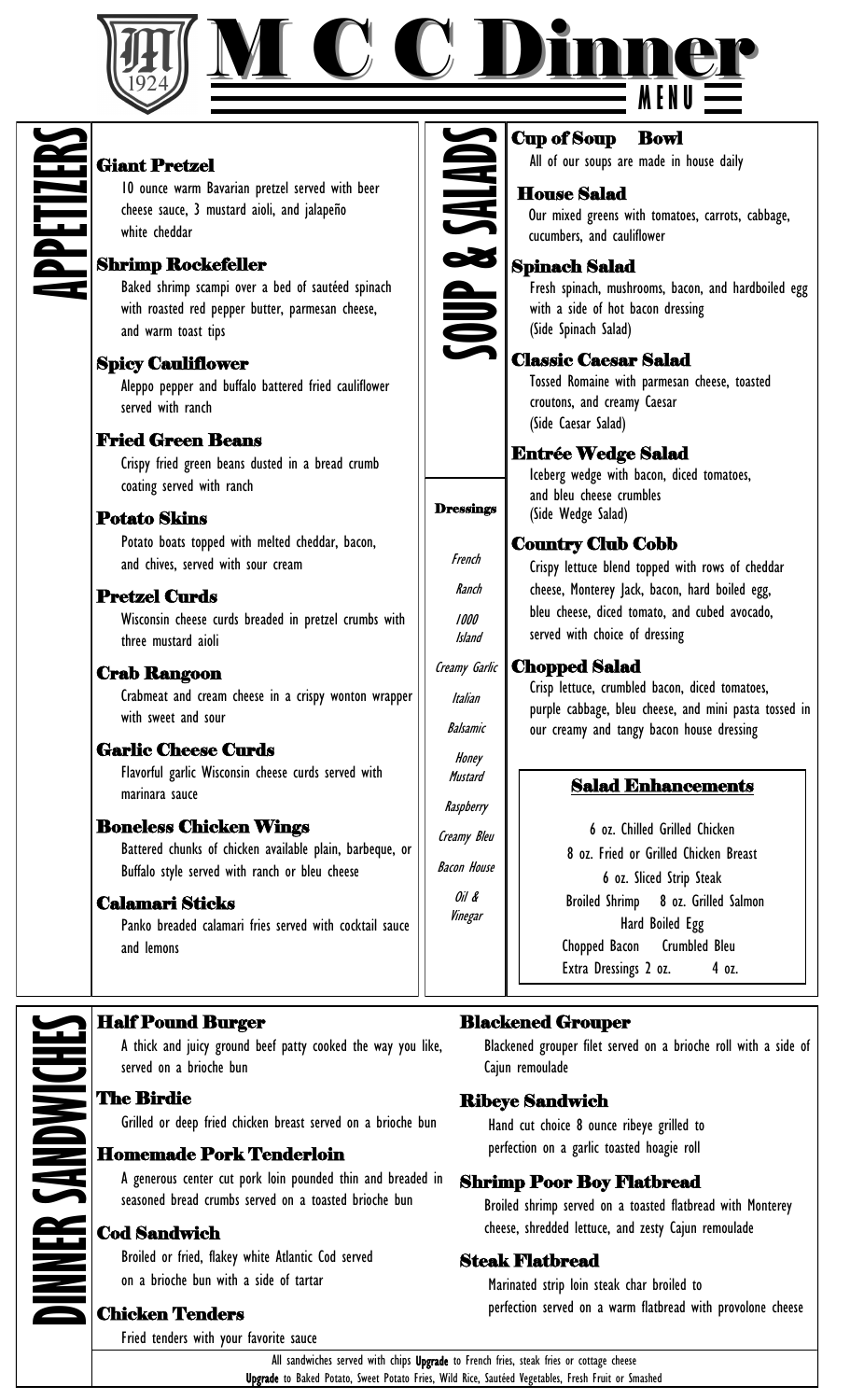



# **APPETIZERS**

### Giant Pretzel

10 ounce warm Bavarian pretzel served with beer cheese sauce, 3 mustard aioli, and jalapeño white cheddar

### Shrimp Rockefeller

Baked shrimp scampi over a bed of sautéed spinach with roasted red pepper butter, parmesan cheese, and warm toast tips

# Spicy Cauliflower

Aleppo pepper and buffalo battered fried cauliflower served with ranch

### Fried Green Beans

Crispy fried green beans dusted in a bread crumb coating served with ranch

### Potato Skins

Potato boats topped with melted cheddar, bacon, and chives, served with sour cream

# Pretzel Curds

Wisconsin cheese curds breaded in pretzel crumbs with three mustard aioli

### Crab Rangoon

Crabmeat and cream cheese in a crispy wonton wrapper with sweet and sour

### Garlic Cheese Curds

Flavorful garlic Wisconsin cheese curds served with marinara sauce

### Boneless Chicken Wings

Battered chunks of chicken available plain, barbeque, or Buffalo style served with ranch or bleu cheese

### Calamari Sticks

Panko breaded calamari fries served with cocktail sauce and lemons

# **SOUP & SALADS**

**Dressings** 

French

Ranch  $1000$ Island

Italian

Balsamic

Honey **Mustard** 

**Raspberry** 

Creamy Bleu

Bacon House

Oil & Vinegar

### Cup of Soup Bowl

All of our soups are made in house daily

### House Salad

 Our mixed greens with tomatoes, carrots, cabbage, cucumbers, and cauliflower

### Spinach Salad

Fresh spinach, mushrooms, bacon, and hardboiled egg with a side of hot bacon dressing (Side Spinach Salad)

### Classic Caesar Salad

Tossed Romaine with parmesan cheese, toasted croutons, and creamy Caesar (Side Caesar Salad)

### Entrée Wedge Salad

 Iceberg wedge with bacon, diced tomatoes, and bleu cheese crumbles (Side Wedge Salad)

### Country Club Cobb

Crispy lettuce blend topped with rows of cheddar cheese, Monterey Jack, bacon, hard boiled egg, bleu cheese, diced tomato, and cubed avocado, served with choice of dressing

### Chopped Salad Creamy Garlic

 Crisp lettuce, crumbled bacon, diced tomatoes, purple cabbage, bleu cheese, and mini pasta tossed in our creamy and tangy bacon house dressing

### Salad Enhancements

6 oz. Chilled Grilled Chicken 8 oz. Fried or Grilled Chicken Breast 6 oz. Sliced Strip Steak Broiled Shrimp 8 oz. Grilled Salmon Hard Boiled Egg Crumbled Bleu Chopped Bacon Extra Dressings 2 oz. 4 oz.

### Half Pound Burger

A thick and juicy ground beef patty cooked the way you like, served on a brioche bun

### The Birdie

**CANDWICH** 

Grilled or deep fried chicken breast served on a brioche bun

### Homemade Pork Tenderloin

A generous center cut pork loin pounded thin and breaded in seasoned bread crumbs served on a toasted brioche bun

### Cod Sandwich

Broiled or fried, flakey white Atlantic Cod served on a brioche bun with a side of tartar

### Chicken Tenders

Fried tenders with your favorite sauce

### Blackened Grouper

Blackened grouper filet served on a brioche roll with a side of Cajun remoulade

### Ribeye Sandwich

 Hand cut choice 8 ounce ribeye grilled to perfection on a garlic toasted hoagie roll

### Shrimp Poor Boy Flatbread

Broiled shrimp served on a toasted flatbread with Monterey cheese, shredded lettuce, and zesty Cajun remoulade

### Steak Flatbread

 Marinated strip loin steak char broiled to perfection served on a warm flatbread with provolone cheese

All sandwiches served with chips Upgrade to French fries, steak fries or cottage cheese Upgrade to Baked Potato, Sweet Potato Fries, Wild Rice, Sautéed Vegetables, Fresh Fruit or Smashed